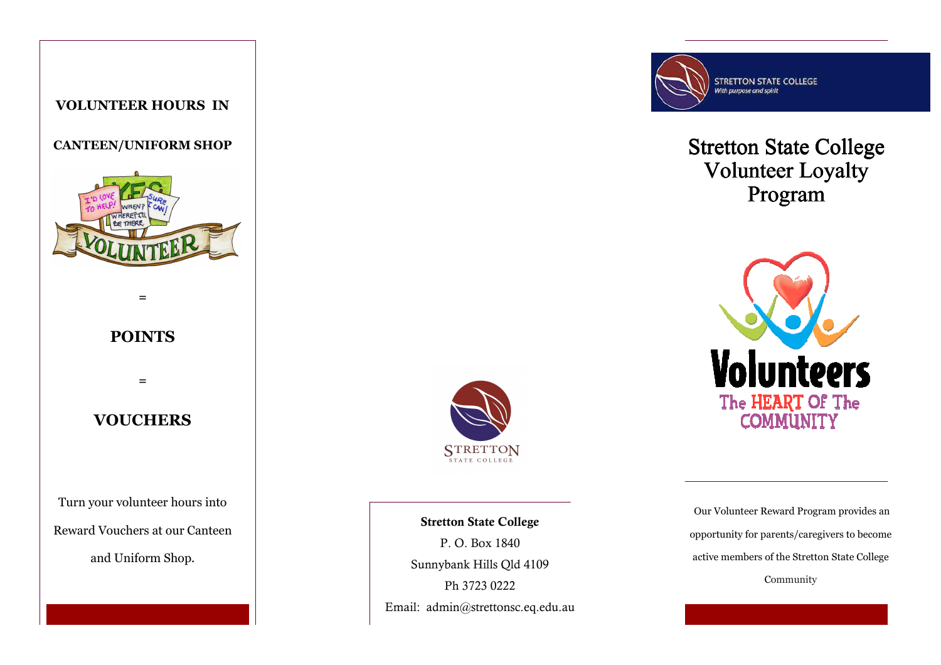### **VOLUNTEER HOURS IN**

#### **CANTEEN/UNIFORM SHOP**



### **POINTS**

**=** 

**=** 

### **VOUCHERS**

Turn your volunteer hours into Reward Vouchers at our Canteen and Uniform Shop.



**Stretton State College** P. O. Box 1840 Sunnybank Hills Qld 4109 Ph 3723 0222 Email: admin@strettonsc.eq.edu.au



# **Stretton State College** Volunteer Loyalty Program



 Our Volunteer Reward Program provides an opportunity for parents/caregivers to become active members of the Stretton State College Community